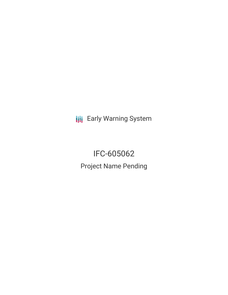**III** Early Warning System

IFC-605062 Project Name Pending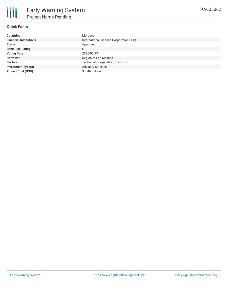

# **Quick Facts**

| <b>Countries</b>              | Morocco                                 |
|-------------------------------|-----------------------------------------|
| <b>Financial Institutions</b> | International Finance Corporation (IFC) |
| <b>Status</b>                 | Approved                                |
| <b>Bank Risk Rating</b>       | U                                       |
| <b>Voting Date</b>            | 2020-05-13                              |
| <b>Borrower</b>               | Region of Fes-Meknes                    |
| <b>Sectors</b>                | <b>Technical Cooperation, Transport</b> |
| <b>Investment Type(s)</b>     | <b>Advisory Services</b>                |
| <b>Project Cost (USD)</b>     | \$ 0.46 million                         |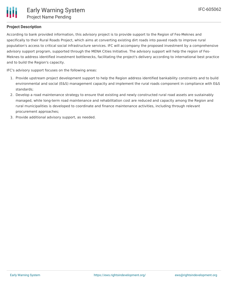# **Project Description**

According to bank provided information, this advisory project is to provide support to the Region of Fes-Meknes and specifically to their Rural Roads Project, which aims at converting existing dirt roads into paved roads to improve rural population's access to critical social infrastructure services. IFC will accompany the proposed investment by a comprehensive advisory support program, supported through the MENA Cities Initiative. The advisory support will help the region of Fes-Meknes to address identified investment bottlenecks, facilitating the project's delivery according to international best practice and to build the Region's capacity.

IFC's advisory support focuses on the following areas:

- 1. Provide upstream project development support to help the Region address identified bankability constraints and to build environmental and social (E&S) management capacity and implement the rural roads component in compliance with E&S standards;
- 2. Develop a road maintenance strategy to ensure that existing and newly constructed rural road assets are sustainably managed, while long-term road maintenance and rehabilitation cost are reduced and capacity among the Region and rural municipalities is developed to coordinate and finance maintenance activities, including through relevant procurement approaches;
- 3. Provide additional advisory support, as needed.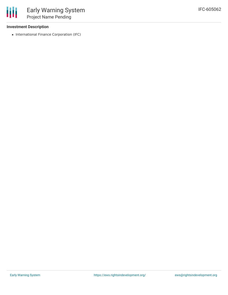## **Investment Description**

冊

• International Finance Corporation (IFC)